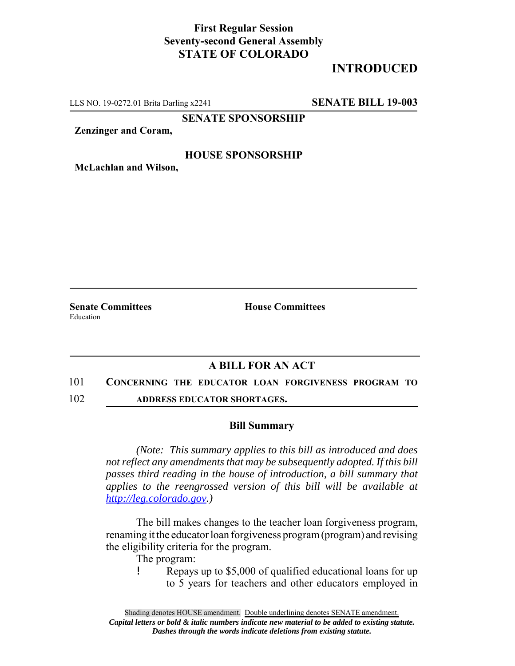## **First Regular Session Seventy-second General Assembly STATE OF COLORADO**

# **INTRODUCED**

LLS NO. 19-0272.01 Brita Darling x2241 **SENATE BILL 19-003**

**SENATE SPONSORSHIP**

**Zenzinger and Coram,**

### **HOUSE SPONSORSHIP**

**McLachlan and Wilson,**

Education

**Senate Committees House Committees** 

### **A BILL FOR AN ACT**

#### 101 **CONCERNING THE EDUCATOR LOAN FORGIVENESS PROGRAM TO**

102 **ADDRESS EDUCATOR SHORTAGES.**

#### **Bill Summary**

*(Note: This summary applies to this bill as introduced and does not reflect any amendments that may be subsequently adopted. If this bill passes third reading in the house of introduction, a bill summary that applies to the reengrossed version of this bill will be available at http://leg.colorado.gov.)*

The bill makes changes to the teacher loan forgiveness program, renaming it the educator loan forgiveness program (program) and revising the eligibility criteria for the program.

The program:

! Repays up to \$5,000 of qualified educational loans for up to 5 years for teachers and other educators employed in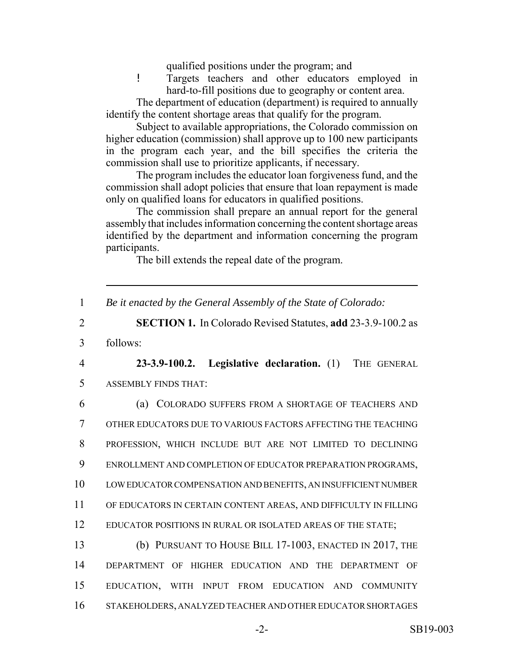qualified positions under the program; and

! Targets teachers and other educators employed in hard-to-fill positions due to geography or content area.

The department of education (department) is required to annually identify the content shortage areas that qualify for the program.

Subject to available appropriations, the Colorado commission on higher education (commission) shall approve up to 100 new participants in the program each year, and the bill specifies the criteria the commission shall use to prioritize applicants, if necessary.

The program includes the educator loan forgiveness fund, and the commission shall adopt policies that ensure that loan repayment is made only on qualified loans for educators in qualified positions.

The commission shall prepare an annual report for the general assembly that includes information concerning the content shortage areas identified by the department and information concerning the program participants.

The bill extends the repeal date of the program.

1 *Be it enacted by the General Assembly of the State of Colorado:*

2 **SECTION 1.** In Colorado Revised Statutes, **add** 23-3.9-100.2 as

3 follows:

4 **23-3.9-100.2. Legislative declaration.** (1) THE GENERAL 5 ASSEMBLY FINDS THAT:

 (a) COLORADO SUFFERS FROM A SHORTAGE OF TEACHERS AND OTHER EDUCATORS DUE TO VARIOUS FACTORS AFFECTING THE TEACHING PROFESSION, WHICH INCLUDE BUT ARE NOT LIMITED TO DECLINING ENROLLMENT AND COMPLETION OF EDUCATOR PREPARATION PROGRAMS, LOW EDUCATOR COMPENSATION AND BENEFITS, AN INSUFFICIENT NUMBER OF EDUCATORS IN CERTAIN CONTENT AREAS, AND DIFFICULTY IN FILLING 12 EDUCATOR POSITIONS IN RURAL OR ISOLATED AREAS OF THE STATE;

 (b) PURSUANT TO HOUSE BILL 17-1003, ENACTED IN 2017, THE DEPARTMENT OF HIGHER EDUCATION AND THE DEPARTMENT OF EDUCATION, WITH INPUT FROM EDUCATION AND COMMUNITY STAKEHOLDERS, ANALYZED TEACHER AND OTHER EDUCATOR SHORTAGES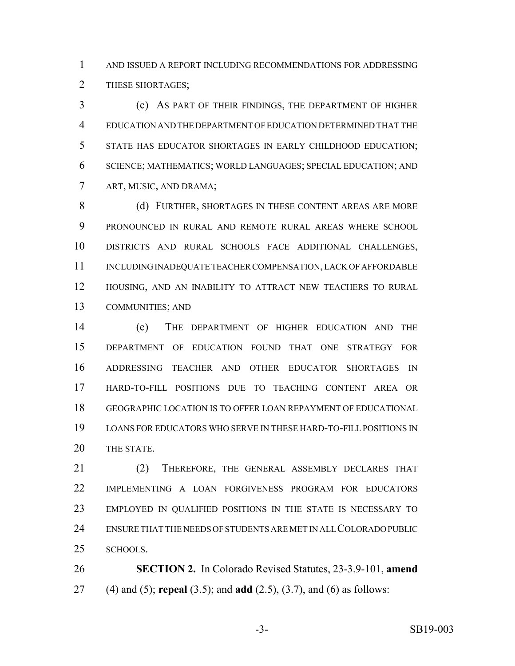AND ISSUED A REPORT INCLUDING RECOMMENDATIONS FOR ADDRESSING 2 THESE SHORTAGES;

 (c) AS PART OF THEIR FINDINGS, THE DEPARTMENT OF HIGHER EDUCATION AND THE DEPARTMENT OF EDUCATION DETERMINED THAT THE STATE HAS EDUCATOR SHORTAGES IN EARLY CHILDHOOD EDUCATION; SCIENCE; MATHEMATICS; WORLD LANGUAGES; SPECIAL EDUCATION; AND ART, MUSIC, AND DRAMA;

8 (d) FURTHER, SHORTAGES IN THESE CONTENT AREAS ARE MORE PRONOUNCED IN RURAL AND REMOTE RURAL AREAS WHERE SCHOOL DISTRICTS AND RURAL SCHOOLS FACE ADDITIONAL CHALLENGES, 11 INCLUDING INADEQUATE TEACHER COMPENSATION, LACK OF AFFORDABLE HOUSING, AND AN INABILITY TO ATTRACT NEW TEACHERS TO RURAL COMMUNITIES; AND

 (e) THE DEPARTMENT OF HIGHER EDUCATION AND THE DEPARTMENT OF EDUCATION FOUND THAT ONE STRATEGY FOR ADDRESSING TEACHER AND OTHER EDUCATOR SHORTAGES IN HARD-TO-FILL POSITIONS DUE TO TEACHING CONTENT AREA OR GEOGRAPHIC LOCATION IS TO OFFER LOAN REPAYMENT OF EDUCATIONAL LOANS FOR EDUCATORS WHO SERVE IN THESE HARD-TO-FILL POSITIONS IN THE STATE.

 (2) THEREFORE, THE GENERAL ASSEMBLY DECLARES THAT IMPLEMENTING A LOAN FORGIVENESS PROGRAM FOR EDUCATORS EMPLOYED IN QUALIFIED POSITIONS IN THE STATE IS NECESSARY TO ENSURE THAT THE NEEDS OF STUDENTS ARE MET IN ALL COLORADO PUBLIC SCHOOLS.

 **SECTION 2.** In Colorado Revised Statutes, 23-3.9-101, **amend** (4) and (5); **repeal** (3.5); and **add** (2.5), (3.7), and (6) as follows: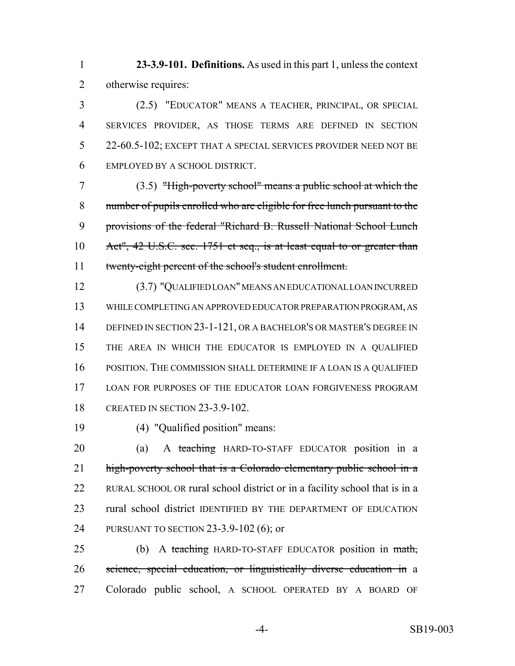**23-3.9-101. Definitions.** As used in this part 1, unless the context otherwise requires:

 (2.5) "EDUCATOR" MEANS A TEACHER, PRINCIPAL, OR SPECIAL SERVICES PROVIDER, AS THOSE TERMS ARE DEFINED IN SECTION 22-60.5-102; EXCEPT THAT A SPECIAL SERVICES PROVIDER NEED NOT BE EMPLOYED BY A SCHOOL DISTRICT.

 (3.5) "High-poverty school" means a public school at which the number of pupils enrolled who are eligible for free lunch pursuant to the provisions of the federal "Richard B. Russell National School Lunch Act", 42 U.S.C. sec. 1751 et seq., is at least equal to or greater than twenty-eight percent of the school's student enrollment.

 (3.7) "QUALIFIED LOAN" MEANS AN EDUCATIONAL LOAN INCURRED WHILE COMPLETING AN APPROVED EDUCATOR PREPARATION PROGRAM, AS 14 DEFINED IN SECTION 23-1-121, OR A BACHELOR'S OR MASTER'S DEGREE IN THE AREA IN WHICH THE EDUCATOR IS EMPLOYED IN A QUALIFIED POSITION. THE COMMISSION SHALL DETERMINE IF A LOAN IS A QUALIFIED LOAN FOR PURPOSES OF THE EDUCATOR LOAN FORGIVENESS PROGRAM CREATED IN SECTION 23-3.9-102.

(4) "Qualified position" means:

 (a) A teaching HARD-TO-STAFF EDUCATOR position in a 21 high-poverty school that is a Colorado elementary public school in a RURAL SCHOOL OR rural school district or in a facility school that is in a rural school district IDENTIFIED BY THE DEPARTMENT OF EDUCATION PURSUANT TO SECTION 23-3.9-102 (6); or

25 (b) A teaching HARD-TO-STAFF EDUCATOR position in math, science, special education, or linguistically diverse education in a Colorado public school, A SCHOOL OPERATED BY A BOARD OF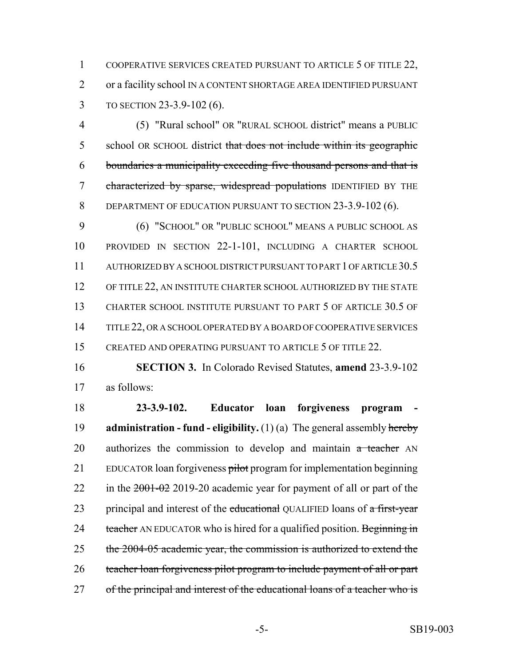1 COOPERATIVE SERVICES CREATED PURSUANT TO ARTICLE 5 OF TITLE 22, 2 or a facility school IN A CONTENT SHORTAGE AREA IDENTIFIED PURSUANT 3 TO SECTION 23-3.9-102 (6).

4 (5) "Rural school" OR "RURAL SCHOOL district" means a PUBLIC 5 school OR SCHOOL district that does not include within its geographic 6 boundaries a municipality exceeding five thousand persons and that is 7 characterized by sparse, widespread populations IDENTIFIED BY THE 8 DEPARTMENT OF EDUCATION PURSUANT TO SECTION 23-3.9-102 (6).

9 (6) "SCHOOL" OR "PUBLIC SCHOOL" MEANS A PUBLIC SCHOOL AS 10 PROVIDED IN SECTION 22-1-101, INCLUDING A CHARTER SCHOOL 11 AUTHORIZED BY A SCHOOL DISTRICT PURSUANT TO PART 1 OF ARTICLE 30.5 12 OF TITLE 22, AN INSTITUTE CHARTER SCHOOL AUTHORIZED BY THE STATE 13 CHARTER SCHOOL INSTITUTE PURSUANT TO PART 5 OF ARTICLE 30.5 OF 14 TITLE 22, OR A SCHOOL OPERATED BY A BOARD OF COOPERATIVE SERVICES 15 CREATED AND OPERATING PURSUANT TO ARTICLE 5 OF TITLE 22.

16 **SECTION 3.** In Colorado Revised Statutes, **amend** 23-3.9-102 17 as follows:

18 **23-3.9-102. Educator loan forgiveness program -** 19 **administration - fund - eligibility.** (1) (a) The general assembly hereby  $20$  authorizes the commission to develop and maintain  $a$  teacher AN 21 EDUCATOR loan forgiveness pilot program for implementation beginning 22 in the  $2001-02$  2019-20 academic year for payment of all or part of the 23 principal and interest of the educational QUALIFIED loans of a first-year 24 teacher AN EDUCATOR who is hired for a qualified position. Beginning in 25 the 2004-05 academic year, the commission is authorized to extend the 26 teacher loan forgiveness pilot program to include payment of all or part 27 of the principal and interest of the educational loans of a teacher who is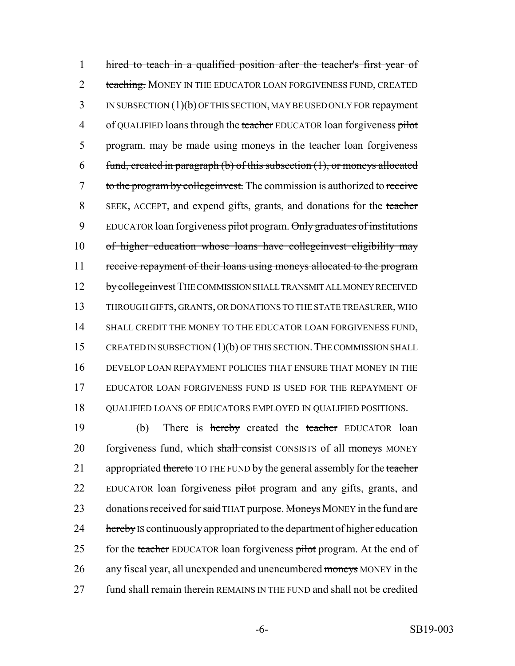1 hired to teach in a qualified position after the teacher's first year of 2 teaching. MONEY IN THE EDUCATOR LOAN FORGIVENESS FUND, CREATED 3 IN SUBSECTION (1)(b) OF THIS SECTION, MAY BE USED ONLY FOR repayment 4 of QUALIFIED loans through the teacher EDUCATOR loan forgiveness pilot 5 program. may be made using moneys in the teacher loan forgiveness 6 fund, created in paragraph (b) of this subsection  $(1)$ , or moneys allocated 7 to the program by collegeinvest. The commission is authorized to receive 8 SEEK, ACCEPT, and expend gifts, grants, and donations for the teacher 9 EDUCATOR loan forgiveness pilot program. Only graduates of institutions 10 of higher education whose loans have collegeinvest eligibility may 11 receive repayment of their loans using moneys allocated to the program 12 by college invest THE COMMISSION SHALL TRANSMIT ALL MONEY RECEIVED 13 THROUGH GIFTS, GRANTS, OR DONATIONS TO THE STATE TREASURER, WHO 14 SHALL CREDIT THE MONEY TO THE EDUCATOR LOAN FORGIVENESS FUND, 15 CREATED IN SUBSECTION (1)(b) OF THIS SECTION. THE COMMISSION SHALL 16 DEVELOP LOAN REPAYMENT POLICIES THAT ENSURE THAT MONEY IN THE 17 EDUCATOR LOAN FORGIVENESS FUND IS USED FOR THE REPAYMENT OF 18 QUALIFIED LOANS OF EDUCATORS EMPLOYED IN QUALIFIED POSITIONS.

19 (b) There is hereby created the teacher EDUCATOR loan 20 forgiveness fund, which shall consist CONSISTS of all moneys MONEY 21 appropriated thereto TO THE FUND by the general assembly for the teacher 22 EDUCATOR loan forgiveness pilot program and any gifts, grants, and 23 donations received for said THAT purpose. Moneys MONEY in the fund are 24 hereby IS continuously appropriated to the department of higher education 25 for the teacher EDUCATOR loan forgiveness pilot program. At the end of 26 any fiscal year, all unexpended and unencumbered moneys MONEY in the 27 fund shall remain therein REMAINS IN THE FUND and shall not be credited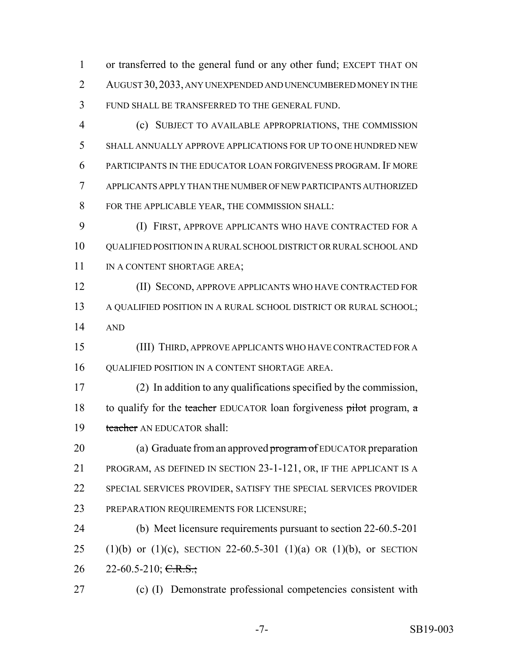or transferred to the general fund or any other fund; EXCEPT THAT ON AUGUST 30,2033, ANY UNEXPENDED AND UNENCUMBERED MONEY IN THE FUND SHALL BE TRANSFERRED TO THE GENERAL FUND.

 (c) SUBJECT TO AVAILABLE APPROPRIATIONS, THE COMMISSION SHALL ANNUALLY APPROVE APPLICATIONS FOR UP TO ONE HUNDRED NEW PARTICIPANTS IN THE EDUCATOR LOAN FORGIVENESS PROGRAM. IF MORE APPLICANTS APPLY THAN THE NUMBER OF NEW PARTICIPANTS AUTHORIZED FOR THE APPLICABLE YEAR, THE COMMISSION SHALL:

 (I) FIRST, APPROVE APPLICANTS WHO HAVE CONTRACTED FOR A 10 OUALIFIED POSITION IN A RURAL SCHOOL DISTRICT OR RURAL SCHOOL AND 11 IN A CONTENT SHORTAGE AREA;

 (II) SECOND, APPROVE APPLICANTS WHO HAVE CONTRACTED FOR A QUALIFIED POSITION IN A RURAL SCHOOL DISTRICT OR RURAL SCHOOL; AND

 (III) THIRD, APPROVE APPLICANTS WHO HAVE CONTRACTED FOR A QUALIFIED POSITION IN A CONTENT SHORTAGE AREA.

 (2) In addition to any qualifications specified by the commission, 18 to qualify for the teacher EDUCATOR loan forgiveness pilot program,  $\alpha$ 19 teacher AN EDUCATOR shall:

20 (a) Graduate from an approved program of EDUCATOR preparation PROGRAM, AS DEFINED IN SECTION 23-1-121, OR, IF THE APPLICANT IS A SPECIAL SERVICES PROVIDER, SATISFY THE SPECIAL SERVICES PROVIDER PREPARATION REQUIREMENTS FOR LICENSURE;

 (b) Meet licensure requirements pursuant to section 22-60.5-201 25 (1)(b) or (1)(c), SECTION 22-60.5-301 (1)(a) OR (1)(b), or SECTION 26 22-60.5-210; C.R.S.;

(c) (I) Demonstrate professional competencies consistent with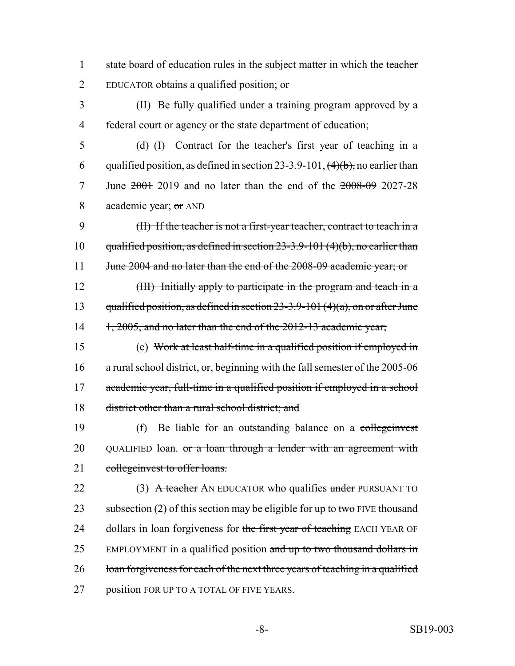1 state board of education rules in the subject matter in which the teacher 2 EDUCATOR obtains a qualified position; or

3 (II) Be fully qualified under a training program approved by a 4 federal court or agency or the state department of education;

5 (d) (H) Contract for the teacher's first year of teaching in a 6 qualified position, as defined in section 23-3.9-101,  $(4)(b)$ , no earlier than 7 June 2001 2019 and no later than the end of the 2008-09 2027-28 8 academic year; or AND

9 (II) If the teacher is not a first-year teacher, contract to teach in a 10 qualified position, as defined in section 23-3.9-101 (4)(b), no earlier than 11 June 2004 and no later than the end of the 2008-09 academic year; or

12 (III) Initially apply to participate in the program and teach in a 13 qualified position, as defined in section  $23-3.9-101(4)(a)$ , on or after June 14 1, 2005, and no later than the end of the 2012-13 academic year;

15 (e) Work at least half-time in a qualified position if employed in 16 a rural school district, or, beginning with the fall semester of the 2005-06 17 academic year, full-time in a qualified position if employed in a school 18 district other than a rural school district; and

19 (f) Be liable for an outstanding balance on a collegenvest 20 QUALIFIED loan. or a loan through a lender with an agreement with 21 collegeinvest to offer loans.

22 (3) A teacher AN EDUCATOR who qualifies under PURSUANT TO 23 subsection (2) of this section may be eligible for up to two FIVE thousand 24 dollars in loan forgiveness for the first year of teaching EACH YEAR OF 25 EMPLOYMENT in a qualified position and up to two thousand dollars in 26 loan forgiveness for each of the next three years of teaching in a qualified 27 position FOR UP TO A TOTAL OF FIVE YEARS.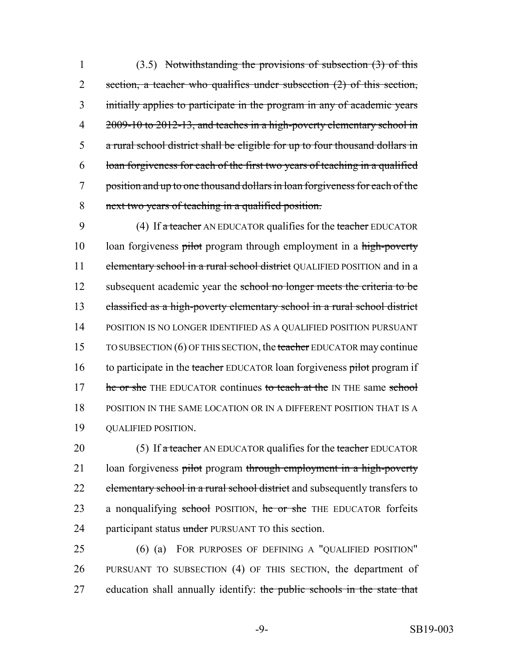(3.5) Notwithstanding the provisions of subsection (3) of this 2 section, a teacher who qualifies under subsection (2) of this section, initially applies to participate in the program in any of academic years 4 2009-10 to 2012-13, and teaches in a high-poverty elementary school in a rural school district shall be eligible for up to four thousand dollars in loan forgiveness for each of the first two years of teaching in a qualified position and up to one thousand dollars in loan forgiveness for each of the next two years of teaching in a qualified position.

9 (4) If a teacher AN EDUCATOR qualifies for the teacher EDUCATOR 10 loan forgiveness pilot program through employment in a high-poverty 11 elementary school in a rural school district QUALIFIED POSITION and in a 12 subsequent academic year the school no longer meets the criteria to be 13 classified as a high-poverty elementary school in a rural school district 14 POSITION IS NO LONGER IDENTIFIED AS A QUALIFIED POSITION PURSUANT 15 TO SUBSECTION (6) OF THIS SECTION, the teacher EDUCATOR may continue 16 to participate in the teacher EDUCATOR loan forgiveness pilot program if 17 he or she THE EDUCATOR continues to teach at the IN THE same school 18 POSITION IN THE SAME LOCATION OR IN A DIFFERENT POSITION THAT IS A 19 QUALIFIED POSITION.

20 (5) If a teacher AN EDUCATOR qualifies for the teacher EDUCATOR 21 loan forgiveness pilot program through employment in a high-poverty 22 elementary school in a rural school district and subsequently transfers to 23 a nonqualifying school POSITION, he or she THE EDUCATOR forfeits 24 participant status under PURSUANT TO this section.

25 (6) (a) FOR PURPOSES OF DEFINING A "QUALIFIED POSITION" 26 PURSUANT TO SUBSECTION (4) OF THIS SECTION, the department of 27 education shall annually identify: the public schools in the state that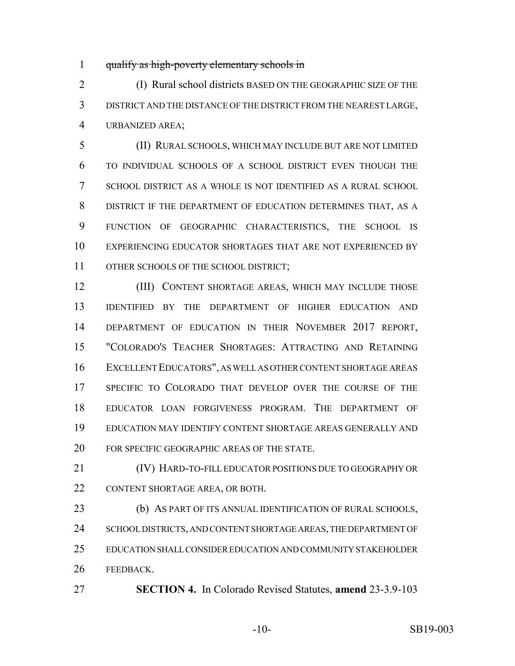qualify as high-poverty elementary schools in

 (I) Rural school districts BASED ON THE GEOGRAPHIC SIZE OF THE DISTRICT AND THE DISTANCE OF THE DISTRICT FROM THE NEAREST LARGE, URBANIZED AREA;

 (II) RURAL SCHOOLS, WHICH MAY INCLUDE BUT ARE NOT LIMITED TO INDIVIDUAL SCHOOLS OF A SCHOOL DISTRICT EVEN THOUGH THE SCHOOL DISTRICT AS A WHOLE IS NOT IDENTIFIED AS A RURAL SCHOOL DISTRICT IF THE DEPARTMENT OF EDUCATION DETERMINES THAT, AS A FUNCTION OF GEOGRAPHIC CHARACTERISTICS, THE SCHOOL IS EXPERIENCING EDUCATOR SHORTAGES THAT ARE NOT EXPERIENCED BY OTHER SCHOOLS OF THE SCHOOL DISTRICT;

 (III) CONTENT SHORTAGE AREAS, WHICH MAY INCLUDE THOSE IDENTIFIED BY THE DEPARTMENT OF HIGHER EDUCATION AND DEPARTMENT OF EDUCATION IN THEIR NOVEMBER 2017 REPORT, "COLORADO'S TEACHER SHORTAGES: ATTRACTING AND RETAINING EXCELLENT EDUCATORS", AS WELL AS OTHER CONTENT SHORTAGE AREAS SPECIFIC TO COLORADO THAT DEVELOP OVER THE COURSE OF THE EDUCATOR LOAN FORGIVENESS PROGRAM. THE DEPARTMENT OF EDUCATION MAY IDENTIFY CONTENT SHORTAGE AREAS GENERALLY AND FOR SPECIFIC GEOGRAPHIC AREAS OF THE STATE.

 (IV) HARD-TO-FILL EDUCATOR POSITIONS DUE TO GEOGRAPHY OR CONTENT SHORTAGE AREA, OR BOTH.

 (b) AS PART OF ITS ANNUAL IDENTIFICATION OF RURAL SCHOOLS, 24 SCHOOL DISTRICTS, AND CONTENT SHORTAGE AREAS, THE DEPARTMENT OF EDUCATION SHALL CONSIDER EDUCATION AND COMMUNITY STAKEHOLDER FEEDBACK.

**SECTION 4.** In Colorado Revised Statutes, **amend** 23-3.9-103